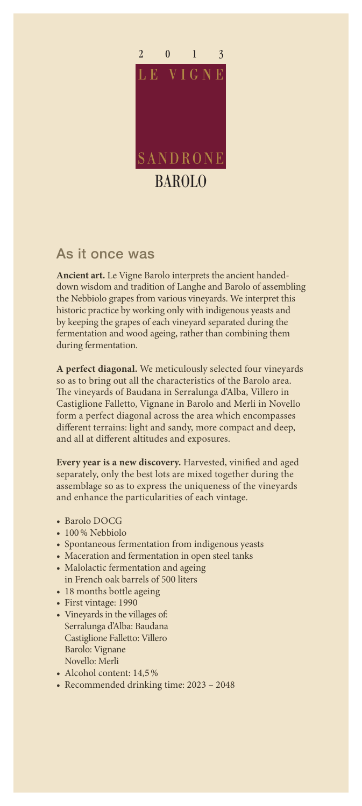

## As it once was

**Ancient art.** Le Vigne Barolo interprets the ancient handeddown wisdom and tradition of Langhe and Barolo of assembling the Nebbiolo grapes from various vineyards. We interpret this historic practice by working only with indigenous yeasts and by keeping the grapes of each vineyard separated during the fermentation and wood ageing, rather than combining them during fermentation.

**A perfect diagonal.** We meticulously selected four vineyards so as to bring out all the characteristics of the Barolo area. The vineyards of Baudana in Serralunga d'Alba, Villero in Castiglione Falletto, Vignane in Barolo and Merli in Novello form a perfect diagonal across the area which encompasses different terrains: light and sandy, more compact and deep, and all at different altitudes and exposures.

**Every year is a new discovery.** Harvested, vinified and aged separately, only the best lots are mixed together during the assemblage so as to express the uniqueness of the vineyards and enhance the particularities of each vintage.

- Barolo DOCG
- 100% Nebbiolo
- Spontaneous fermentation from indigenous yeasts
- Maceration and fermentation in open steel tanks
- Malolactic fermentation and ageing in French oak barrels of 500 liters
- 18 months bottle ageing
- First vintage: 1990
- Vineyards in the villages of: Serralunga d'Alba: Baudana Castiglione Falletto: Villero Barolo: Vignane Novello: Merli
- Alcohol content: 14,5%
- Recommended drinking time: 2023 2048